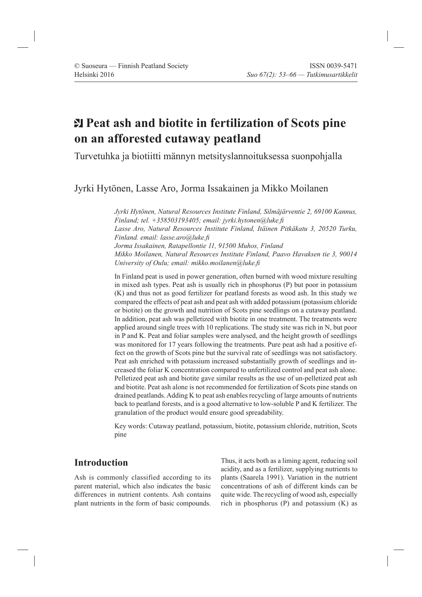# **Peat ash and biotite in fertilization of Scots pine on an afforested cutaway peatland**

Turvetuhka ja biotiitti männyn metsityslannoituksessa suonpohjalla

# Jyrki Hytönen, Lasse Aro, Jorma Issakainen ja Mikko Moilanen

*Jyrki Hytönen, Natural Resources Institute Finland, Silmäjärventie 2, 69100 Kannus, Finland; tel.* +358503193405; email: jyrki.hytonen@luke.fi *Lasse Aro, Natural Resources Institute Finland, Itäinen Pitkäkatu 3, 20520 Turku, Finland. email: lasse.aro@luke.fi Jorma Issakainen, Ratapellontie 11, 91500 Muhos, Finland Mikko Moilanen, Natural Resources Institute Finland, Paavo Havaksen tie 3, 90014 University of Oulu; email: mikko.moilanen@luke.fi* 

In Finland peat is used in power generation, often burned with wood mixture resulting in mixed ash types. Peat ash is usually rich in phosphorus (P) but poor in potassium (K) and thus not as good fertilizer for peatland forests as wood ash. In this study we compared the effects of peat ash and peat ash with added potassium (potassium chloride or biotite) on the growth and nutrition of Scots pine seedlings on a cutaway peatland. In addition, peat ash was pelletized with biotite in one treatment. The treatments were applied around single trees with 10 replications. The study site was rich in N, but poor in P and K. Peat and foliar samples were analysed, and the height growth of seedlings was monitored for 17 years following the treatments. Pure peat ash had a positive effect on the growth of Scots pine but the survival rate of seedlings was not satisfactory. Peat ash enriched with potassium increased substantially growth of seedlings and increased the foliar K concentration compared to unfertilized control and peat ash alone. Pelletized peat ash and biotite gave similar results as the use of un-pelletized peat ash and biotite. Peat ash alone is not recommended for fertilization of Scots pine stands on drained peatlands. Adding K to peat ash enables recycling of large amounts of nutrients back to peatland forests, and is a good alternative to low-soluble P and K fertilizer. The granulation of the product would ensure good spreadability.

Key words: Cutaway peatland, potassium, biotite, potassium chloride, nutrition, Scots pine

# **Introduction**

Ash is commonly classified according to its parent material, which also indicates the basic differences in nutrient contents. Ash contains plant nutrients in the form of basic compounds. Thus, it acts both as a liming agent, reducing soil acidity, and as a fertilizer, supplying nutrients to plants (Saarela 1991). Variation in the nutrient concentrations of ash of different kinds can be quite wide. The recycling of wood ash, especially rich in phosphorus  $(P)$  and potassium  $(K)$  as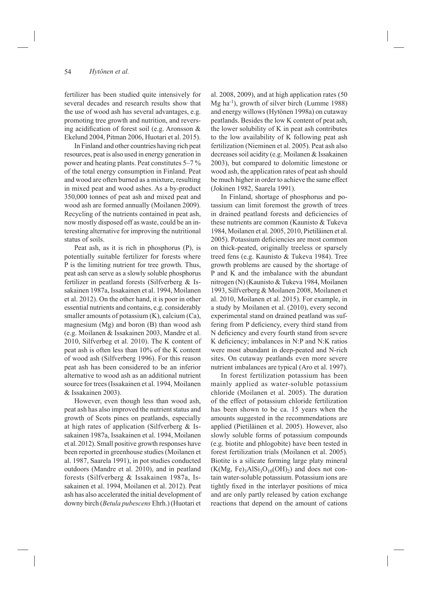fertilizer has been studied quite intensively for several decades and research results show that the use of wood ash has several advantages, e.g. promoting tree growth and nutrition, and reversing acidification of forest soil (e.g. Aronsson  $\&$ Ekelund 2004, Pitman 2006, Huotari et al. 2015).

In Finland and other countries having rich peat resources, peat is also used in energy generation in power and heating plants. Peat constitutes 5–7 % of the total energy consumption in Finland. Peat and wood are often burned as a mixture, resulting in mixed peat and wood ashes. As a by-product 350,000 tonnes of peat ash and mixed peat and wood ash are formed annually (Moilanen 2009). Recycling of the nutrients contained in peat ash, now mostly disposed off as waste, could be an interesting alternative for improving the nutritional status of soils.

Peat ash, as it is rich in phosphorus (P), is potentially suitable fertilizer for forests where P is the limiting nutrient for tree growth. Thus, peat ash can serve as a slowly soluble phosphorus fertilizer in peatland forests (Silfverberg & Issakainen 1987a, Issakainen et al. 1994, Moilanen et al. 2012). On the other hand, it is poor in other essential nutrients and contains, e.g. considerably smaller amounts of potassium (K), calcium (Ca), magnesium (Mg) and boron (B) than wood ash (e.g. Moilanen & Issakainen 2003, Mandre et al. 2010, Silfverbeg et al. 2010). The K content of peat ash is often less than 10% of the K content of wood ash (Silfverberg 1996). For this reason peat ash has been considered to be an inferior alternative to wood ash as an additional nutrient source for trees (Issakainen et al. 1994, Moilanen & Issakainen 2003).

However, even though less than wood ash, peat ash has also improved the nutrient status and growth of Scots pines on peatlands, especially at high rates of application (Silfverberg & Issakainen 1987a, Issakainen et al. 1994, Moilanen et al. 2012). Small positive growth responses have been reported in greenhouse studies (Moilanen et al. 1987, Saarela 1991), in pot studies conducted outdoors (Mandre et al. 2010), and in peatland forests (Silfverberg & Issakainen 1987a, Issakainen et al. 1994, Moilanen et al. 2012). Peat ash has also accelerated the initial development of downy birch (*Betula pubescens* Ehrh.) (Huotari et

al. 2008, 2009), and at high application rates (50 Mg ha<sup>-1</sup>), growth of silver birch (Lumme 1988) and energy willows (Hytönen 1998a) on cutaway peatlands. Besides the low K content of peat ash, the lower solubility of K in peat ash contributes to the low availability of K following peat ash fertilization (Nieminen et al. 2005). Peat ash also decreases soil acidity (e.g. Moilanen & Issakainen 2003), but compared to dolomitic limestone or wood ash, the application rates of peat ash should be much higher in order to achieve the same effect (Jokinen 1982, Saarela 1991).

In Finland, shortage of phosphorus and potassium can limit foremost the growth of trees in drained peatland forests and deficiencies of these nutrients are common (Kaunisto & Tukeva 1984, Moilanen et al. 2005, 2010, Pietiläinen et al. 2005). Potassium deficiencies are most common on thick-peated, originally treeless or sparsely treed fens (e.g. Kaunisto & Tukeva 1984). Tree growth problems are caused by the shortage of P and K and the imbalance with the abundant nitrogen (N) (Kaunisto & Tukeva 1984, Moilanen 1993, Silfverberg & Moilanen 2008, Moilanen et al. 2010, Moilanen et al. 2015). For example, in a study by Moilanen et al. (2010), every second experimental stand on drained peatland was suffering from P deficiency, every third stand from N deficiency and every fourth stand from severe K deficiency; imbalances in N:P and N:K ratios were most abundant in deep-peated and N-rich sites. On cutaway peatlands even more severe nutrient imbalances are typical (Aro et al. 1997).

In forest fertilization potassium has been mainly applied as water-soluble potassium chloride (Moilanen et al. 2005). The duration of the effect of potassium chloride fertilization has been shown to be ca. 15 years when the amounts suggested in the recommendations are applied (Pietiläinen et al. 2005). However, also slowly soluble forms of potassium compounds (e.g. biotite and phlogobite) have been tested in forest fertilization trials (Moilanen et al. 2005). Biotite is a silicate forming large platy mineral  $(K(Mg, Fe)_{3}AISi_{3}O_{10}(OH))_{2}$  and does not contain water-soluble potassium. Potassium ions are tightly fixed in the interlayer positions of mica and are only partly released by cation exchange reactions that depend on the amount of cations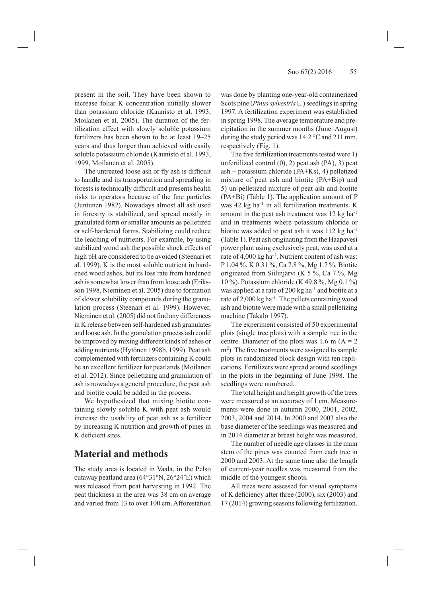present in the soil. They have been shown to increase foliar K concentration initially slower than potassium chloride (Kaunisto et al. 1993, Moilanen et al. 2005). The duration of the fertilization effect with slowly soluble potassium fertilizers has been shown to be at least 19–25 years and thus longer than achieved with easily soluble potassium chloride (Kaunisto et al. 1993, 1999, Moilanen et al. 2005).

The untreated loose ash or fly ash is difficult to handle and its transportation and spreading in forests is technically difficult and presents health risks to operators because of the fine particles (Juntunen 1982). Nowadays almost all ash used in forestry is stabilized, and spread mostly in granulated form or smaller amounts as pelletized or self-hardened forms. Stabilizing could reduce the leaching of nutrients. For example, by using stabilized wood ash the possible shock effects of high pH are considered to be avoided (Steenari et al. 1999). K is the most soluble nutrient in hardened wood ashes, but its loss rate from hardened ash is somewhat lower than from loose ash (Eriksson 1998, Nieminen et al. 2005) due to formation of slower solubility compounds during the granulation process (Steenari et al. 1999). However, Nieminen et al. (2005) did not find any differences in K release between self-hardened ash granulates and loose ash. In the granulation process ash could be improved by mixing different kinds of ashes or adding nutrients (Hytönen 1998b, 1999). Peat ash complemented with fertilizers containing K could be an excellent fertilizer for peatlands (Moilanen et al. 2012). Since pelletizing and granulation of ash is nowadays a general procedure, the peat ash and biotite could be added in the process.

We hypothesized that mixing biotite containing slowly soluble K with peat ash would increase the usability of peat ash as a fertilizer by increasing K nutrition and growth of pines in K deficient sites.

# **Material and methods**

The study area is located in Vaala, in the Pelso cutaway peatland area  $(64°31''N, 26°24''E)$  which was released from peat harvesting in 1992. The peat thickness in the area was 38 cm on average and varied from 13 to over 100 cm. Afforestation was done by planting one-year-old containerized Scots pine (*Pinus sylvestris* L.) seedlings in spring 1997. A fertilization experiment was established in spring 1998. The average temperature and precipitation in the summer months (June–August) during the study period was 14.2 °C and 211 mm, respectively (Fig. 1).

The five fertilization treatments tested were 1) unfertilized control (0), 2) peat ash (PA), 3) peat ash + potassium chloride (PA+Ks), 4) pelletized mixture of peat ash and biotite (PA+Bip) and 5) un-pelletized mixture of peat ash and biotite (PA+Bi) (Table 1). The application amount of P was 42 kg ha<sup>-1</sup> in all fertilization treatments. K amount in the peat ash treatment was 12 kg ha-1 and in treatments where potassium chloride or biotite was added to peat ash it was 112 kg ha-1 (Table 1). Peat ash originating from the Haapavesi power plant using exclusively peat, was used at a rate of 4,000 kg ha<sup>-1</sup>. Nutrient content of ash was: P 1.04 %, K 0.31 %, Ca 7.8 %, Mg 1.7 %. Biotite originated from Siilinjärvi (K 5 %, Ca 7 %, Mg 10 %). Potassium chloride (K 49.8 %, Mg 0.1 %) was applied at a rate of 200 kg ha<sup>-1</sup> and biotite at a rate of 2,000 kg ha-1. The pellets containing wood ash and biotite were made with a small pelletizing machine (Takalo 1997).

The experiment consisted of 50 experimental plots (single tree plots) with a sample tree in the centre. Diameter of the plots was 1.6 m  $(A = 2)$  $m<sup>2</sup>$ ). The five treatments were assigned to sample plots in randomized block design with ten replications. Fertilizers were spread around seedlings in the plots in the beginning of June 1998. The seedlings were numbered.

The total height and height growth of the trees were measured at an accuracy of 1 cm. Measurements were done in autumn 2000, 2001, 2002, 2003, 2004 and 2014. In 2000 and 2003 also the base diameter of the seedlings was measured and in 2014 diameter at breast height was measured.

The number of needle age classes in the main stem of the pines was counted from each tree in 2000 and 2003. At the same time also the length of current-year needles was measured from the middle of the youngest shoots.

All trees were assessed for visual symptoms of K deficiency after three  $(2000)$ , six  $(2003)$  and 17 (2014) growing seasons following fertilization.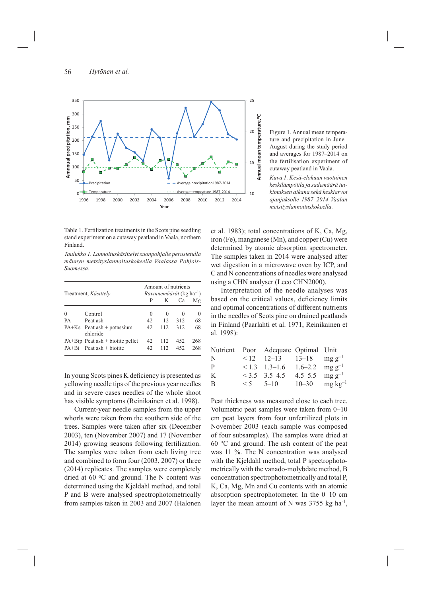

Table 1. Fertilization treatments in the Scots pine seedling stand experiment on a cutaway peatland in Vaala, northern Finland.

*Taulukko 1. Lannoituskäsittelyt suonpohjalle perustetulla männyn metsityslannoituskokeella Vaalassa Pohjois-Suomessa.*

| Treatment, Käsittely |                                                                      | Amount of nutrients<br><i>Ravinnemäärät</i> (kg ha <sup>-1</sup> ) |            |            |            |
|----------------------|----------------------------------------------------------------------|--------------------------------------------------------------------|------------|------------|------------|
|                      |                                                                      |                                                                    | K          | Ca         | Mg         |
| $\theta$             | Control                                                              | $\Omega$                                                           | $\theta$   | $\Omega$   | $\Omega$   |
| <b>PA</b>            | Peat ash                                                             | 42                                                                 | 12         | 312        | 68         |
|                      | $PA+Ks$ Peat ash + potassium<br>chloride                             | 42                                                                 | 112        | 312        | 68         |
|                      | $PA+Bip$ Peat ash $+$ biotite pellet<br>$PA + Bi$ Peat ash + biotite | 42<br>42                                                           | 112<br>112 | 452<br>452 | 268<br>268 |

In young Scots pines K deficiency is presented as yellowing needle tips of the previous year needles and in severe cases needles of the whole shoot has visible symptoms (Reinikainen et al. 1998).

Current-year needle samples from the upper whorls were taken from the southern side of the trees. Samples were taken after six (December 2003), ten (November 2007) and 17 (November 2014) growing seasons following fertilization. The samples were taken from each living tree and combined to form four (2003, 2007) or three (2014) replicates. The samples were completely dried at 60 °C and ground. The N content was determined using the Kjeldahl method, and total P and B were analysed spectrophotometrically from samples taken in 2003 and 2007 (Halonen Figure 1. Annual mean temperature and precipitation in June– August during the study period and averages for 1987–2014 on the fertilisation experiment of cutaway peatland in Vaala.

*Kuva 1. Kesä-elokuun vuotuinen keskilämpötila ja sademäärä tutkimuksen aikana sekä keskiarvot ajanjaksolle 1987–2014 Vaalan metsityslannoituskokeella.*

et al. 1983); total concentrations of K, Ca, Mg, iron (Fe), manganese (Mn), and copper (Cu) were determined by atomic absorption spectrometer. The samples taken in 2014 were analysed after wet digestion in a microwave oven by ICP, and C and N concentrations of needles were analysed using a CHN analyser (Leco CHN2000).

Interpretation of the needle analyses was based on the critical values, deficiency limits and optimal concentrations of different nutrients in the needles of Scots pine on drained peatlands in Finland (Paarlahti et al. 1971, Reinikainen et al. 1998):

|  | $<3.5$ 3.5-4.5 | Nutrient Poor Adequate Optimal Unit<br>$12 - 12 - 13$ 13-18 mg g <sup>-1</sup><br>$\leq$ 1.3 1.3–1.6 1.6–2.2 mg g <sup>-1</sup><br>4.5–5.5 mg $g^{-1}$<br>$\leq$ 5 5–10 10–30 mg kg <sup>-1</sup> |
|--|----------------|---------------------------------------------------------------------------------------------------------------------------------------------------------------------------------------------------|

Peat thickness was measured close to each tree. Volumetric peat samples were taken from 0–10 cm peat layers from four unfertilized plots in November 2003 (each sample was composed of four subsamples). The samples were dried at 60 °C and ground. The ash content of the peat was 11 %. The N concentration was analysed with the Kjeldahl method, total P spectrophotometrically with the vanado-molybdate method, B concentration spectrophotometrically and total P, K, Ca, Mg, Mn and Cu contents with an atomic absorption spectrophotometer. In the 0–10 cm layer the mean amount of N was  $3755$  kg ha<sup>-1</sup>,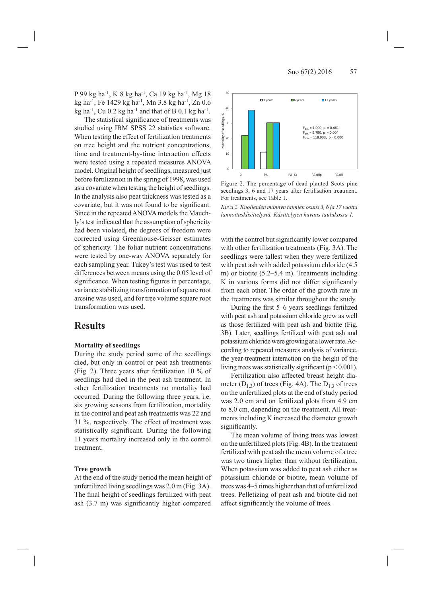P 99 kg ha<sup>-1</sup>, K 8 kg ha<sup>-1</sup>, Ca 19 kg ha<sup>-1</sup>, Mg 18 kg ha-1, Fe 1429 kg ha-1, Mn 3.8 kg ha-1, Zn 0.6 kg ha<sup>-1</sup>, Cu 0.2 kg ha<sup>-1</sup> and that of B 0.1 kg ha<sup>-1</sup>.

The statistical significance of treatments was studied using IBM SPSS 22 statistics software. When testing the effect of fertilization treatments on tree height and the nutrient concentrations, time and treatment-by-time interaction effects were tested using a repeated measures ANOVA model. Original height of seedlings, measured just before fertilization in the spring of 1998, was used as a covariate when testing the height of seedlings. In the analysis also peat thickness was tested as a covariate, but it was not found to be significant. Since in the repeated ANOVA models the Mauchly's test indicated that the assumption of sphericity had been violated, the degrees of freedom were corrected using Greenhouse-Geisser estimates of sphericity. The foliar nutrient concentrations were tested by one-way ANOVA separately for each sampling year. Tukey's test was used to test differences between means using the 0.05 level of significance. When testing figures in percentage, variance stabilizing transformation of square root arcsine was used, and for tree volume square root transformation was used.

## **Results**

#### **Mortality of seedlings**

During the study period some of the seedlings died, but only in control or peat ash treatments (Fig. 2). Three years after fertilization 10 % of seedlings had died in the peat ash treatment. In other fertilization treatments no mortality had occurred. During the following three years, i.e. six growing seasons from fertilization, mortality in the control and peat ash treatments was 22 and 31 %, respectively. The effect of treatment was statistically significant. During the following 11 years mortality increased only in the control treatment.

#### **Tree growth**

At the end of the study period the mean height of unfertilized living seedlings was 2.0 m (Fig. 3A). The final height of seedlings fertilized with peat ash  $(3.7 \text{ m})$  was significantly higher compared



Figure 2. The percentage of dead planted Scots pine seedlings 3, 6 and 17 years after fertilisation treatment. For treatments, see Table 1.

*Kuva 2. Kuolleiden männyn taimien osuus 3, 6 ja 17 vuotta lannoituskäsittelystä. Käsittelyjen kuvaus taulukossa 1.*

with the control but significantly lower compared with other fertilization treatments (Fig. 3A). The seedlings were tallest when they were fertilized with peat ash with added potassium chloride (4.5 m) or biotite (5.2–5.4 m). Treatments including K in various forms did not differ significantly from each other. The order of the growth rate in the treatments was similar throughout the study.

During the first 5–6 years seedlings fertilized with peat ash and potassium chloride grew as well as those fertilized with peat ash and biotite (Fig. 3B). Later, seedlings fertilized with peat ash and potassium chloride were growing at a lower rate. According to repeated measures analysis of variance, the year-treatment interaction on the height of the living trees was statistically significant ( $p < 0.001$ ).

Fertilization also affected breast height diameter  $(D_1, 3)$  of trees (Fig. 4A). The  $D_1, 3$  of trees on the unfertilized plots at the end of study period was 2.0 cm and on fertilized plots from 4.9 cm to 8.0 cm, depending on the treatment. All treatments including K increased the diameter growth significantly.

The mean volume of living trees was lowest on the unfertilized plots (Fig. 4B). In the treatment fertilized with peat ash the mean volume of a tree was two times higher than without fertilization. When potassium was added to peat ash either as potassium chloride or biotite, mean volume of trees was 4–5 times higher than that of unfertilized trees. Pelletizing of peat ash and biotite did not affect significantly the volume of trees.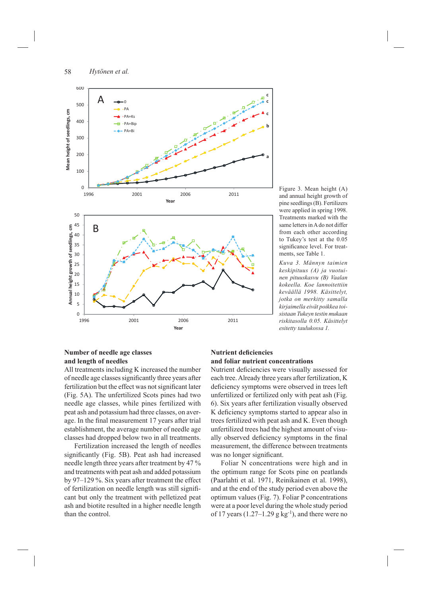

Figure 3. Mean height (A) and annual height growth of pine seedlings (B). Fertilizers were applied in spring 1998. Treatments marked with the same letters in A do not differ from each other according to Tukey's test at the 0.05 significance level. For treatments, see Table 1.

*Kuva 3. Männyn taimien keskipituus (A) ja vuotuinen pituuskasvu (B) Vaalan kokeella. Koe lannoitettiin keväällä 1998. Käsittelyt, jotka on merkitty samalla kirjaimella eivät poikkea toisistaan Tukeyn testin mukaan riskitasolla 0.05. Käsittelyt esitetty taulukossa 1.*

## **Number of needle age classes and length of needles**

All treatments including K increased the number of needle age classes significantly three years after fertilization but the effect was not significant later (Fig. 5A). The unfertilized Scots pines had two needle age classes, while pines fertilized with peat ash and potassium had three classes, on average. In the final measurement 17 years after trial establishment, the average number of needle age classes had dropped below two in all treatments.

Fertilization increased the length of needles significantly (Fig. 5B). Peat ash had increased needle length three years after treatment by 47 % and treatments with peat ash and added potassium by 97–129 %. Six years after treatment the effect of fertilization on needle length was still significant but only the treatment with pelletized peat ash and biotite resulted in a higher needle length than the control.

## **Nutrient deficiencies and foliar nutrient concentrations**

Nutrient deficiencies were visually assessed for each tree. Already three years after fertilization, K deficiency symptoms were observed in trees left unfertilized or fertilized only with peat ash (Fig. 6). Six years after fertilization visually observed K deficiency symptoms started to appear also in trees fertilized with peat ash and K. Even though unfertilized trees had the highest amount of visually observed deficiency symptoms in the final measurement, the difference between treatments was no longer significant.

Foliar N concentrations were high and in the optimum range for Scots pine on peatlands (Paarlahti et al. 1971, Reinikainen et al. 1998), and at the end of the study period even above the optimum values (Fig. 7). Foliar P concentrations were at a poor level during the whole study period of 17 years  $(1.27-1.29 \text{ g kg}^{-1})$ , and there were no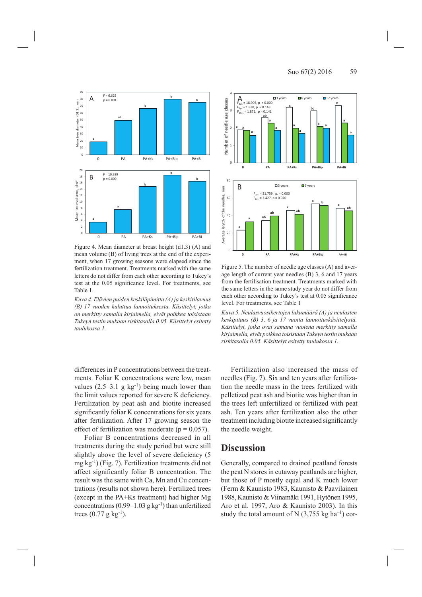

Figure 4. Mean diameter at breast height (d1.3) (A) and mean volume (B) of living trees at the end of the experiment, when 17 growing seasons were elapsed since the fertilization treatment. Treatments marked with the same letters do not differ from each other according to Tukey's test at the 0.05 significance level. For treatments, see Table 1.

*Kuva 4. Elävien puiden keskiläpimitta (A) ja keskitilavuus (B) 17 vuoden kuluttua lannoituksesta. Käsittelyt, jotka on merkitty samalla kirjaimella, eivät poikkea toisistaan Tukeyn testin mukaan riskitasolla 0.05. Käsittelyt esitetty taulukossa 1.*

differences in P concentrations between the treatments. Foliar K concentrations were low, mean values  $(2.5-3.1 \text{ g kg}^{-1})$  being much lower than the limit values reported for severe K deficiency. Fertilization by peat ash and biotite increased significantly foliar K concentrations for six years after fertilization. After 17 growing season the effect of fertilization was moderate ( $p = 0.057$ ).

Foliar B concentrations decreased in all treatments during the study period but were still slightly above the level of severe deficiency (5)  $mg \, kg^{-1}$ ) (Fig. 7). Fertilization treatments did not affect significantly foliar B concentration. The result was the same with Ca, Mn and Cu concentrations (results not shown here). Fertilized trees (except in the PA+Ks treatment) had higher Mg concentrations (0.99–1.03  $g kg^{-1}$ ) than unfertilized trees  $(0.77 \text{ g kg}^{-1})$ .



Figure 5. The number of needle age classes (A) and average length of current year needles (B) 3, 6 and 17 years from the fertilisation treatment. Treatments marked with the same letters in the same study year do not differ from each other according to Tukey's test at  $0.05$  significance level. For treatments, see Table 1

*Kuva 5. Neulasvuosikertojen lukumäärä (A) ja neulasten keskipituus (B) 3, 6 ja 17 vuotta lannoituskäsittelystä. Käsittelyt, jotka ovat samana vuotena merkitty samalla kirjaimella, eivät poikkea toisistaan Tukeyn testin mukaan riskitasolla 0.05. Käsittelyt esitetty taulukossa 1.*

Fertilization also increased the mass of needles (Fig. 7). Six and ten years after fertilization the needle mass in the trees fertilized with pelletized peat ash and biotite was higher than in the trees left unfertilized or fertilized with peat ash. Ten years after fertilization also the other treatment including biotite increased significantly the needle weight.

## **Discussion**

Generally, compared to drained peatland forests the peat N stores in cutaway peatlands are higher, but those of P mostly equal and K much lower (Ferm & Kaunisto 1983, Kaunisto & Paavilainen 1988, Kaunisto & Viinamäki 1991, Hytönen 1995, Aro et al. 1997, Aro & Kaunisto 2003). In this study the total amount of N  $(3,755 \text{ kg ha}^{-1})$  cor-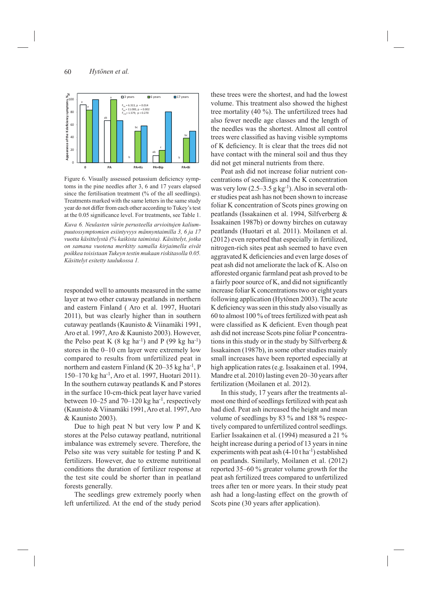

Figure 6. Visually assessed potassium deficiency symptoms in the pine needles after 3, 6 and 17 years elapsed since the fertilisation treatment (% of the all seedlings). Treatments marked with the same letters in the same study year do not differ from each other according to Tukey's test at the 0.05 significance level. For treatments, see Table 1.

*Kuva 6. Neulasten värin perusteella arvioitujen kaliumpuutossymptomien esiintyvyys männyntaimilla 3, 6 ja 17 vuotta käsittelystä (% kaikista taimista). Käsittelyt, jotka on samana vuotena merkitty samalla kirjaimella eivät poikkea toisistaan Tukeyn testin mukaan riskitasolla 0.05. Käsittelyt esitetty taulukossa 1.*

responded well to amounts measured in the same layer at two other cutaway peatlands in northern and eastern Finland ( Aro et al. 1997, Huotari 2011), but was clearly higher than in southern cutaway peatlands (Kaunisto & Viinamäki 1991, Aro et al. 1997, Aro & Kaunisto 2003). However, the Pelso peat K  $(8 \text{ kg ha}^{-1})$  and P  $(99 \text{ kg ha}^{-1})$ stores in the 0–10 cm layer were extremely low compared to results from unfertilized peat in northern and eastern Finland (K  $20-35$  kg ha<sup>-1</sup>, P 150–170 kg ha-1, Aro et al. 1997, Huotari 2011). In the southern cutaway peatlands K and P stores in the surface 10-cm-thick peat layer have varied between  $10-25$  and  $70-120$  kg ha<sup>-1</sup>, respectively (Kaunisto & Viinamäki 1991, Aro et al. 1997, Aro & Kaunisto 2003).

Due to high peat N but very low P and K stores at the Pelso cutaway peatland, nutritional imbalance was extremely severe. Therefore, the Pelso site was very suitable for testing P and K fertilizers. However, due to extreme nutritional conditions the duration of fertilizer response at the test site could be shorter than in peatland forests generally.

The seedlings grew extremely poorly when left unfertilized. At the end of the study period

these trees were the shortest, and had the lowest volume. This treatment also showed the highest tree mortality (40 %). The unfertilized trees had also fewer needle age classes and the length of the needles was the shortest. Almost all control trees were classified as having visible symptoms of K deficiency. It is clear that the trees did not have contact with the mineral soil and thus they did not get mineral nutrients from there.

Peat ash did not increase foliar nutrient concentrations of seedlings and the K concentration was very low  $(2.5-3.5 \text{ g kg}^{-1})$ . Also in several other studies peat ash has not been shown to increase foliar K concentration of Scots pines growing on peatlands (Issakainen et al. 1994, Silfverberg & Issakainen 1987b) or downy birches on cutaway peatlands (Huotari et al. 2011). Moilanen et al. (2012) even reported that especially in fertilized, nitrogen-rich sites peat ash seemed to have even aggravated K deficiencies and even large doses of peat ash did not ameliorate the lack of K. Also on afforested organic farmland peat ash proved to be a fairly poor source of K, and did not significantly increase foliar K concentrations two or eight years following application (Hytönen 2003). The acute K deficiency was seen in this study also visually as 60 to almost 100 % of trees fertilized with peat ash were classified as K deficient. Even though peat ash did not increase Scots pine foliar P concentrations in this study or in the study by Silfverberg  $\&$ Issakainen (1987b), in some other studies mainly small increases have been reported especially at high application rates (e.g. Issakainen et al. 1994, Mandre et al. 2010) lasting even 20–30 years after fertilization (Moilanen et al. 2012).

In this study, 17 years after the treatments almost one third of seedlings fertilized with peat ash had died. Peat ash increased the height and mean volume of seedlings by 83 % and 188 % respectively compared to unfertilized control seedlings. Earlier Issakainen et al. (1994) measured a 21 % height increase during a period of 13 years in nine experiments with peat ash  $(4-10 \t{ h}a^{-1})$  established on peatlands. Similarly, Moilanen et al. (2012) reported 35–60 % greater volume growth for the peat ash fertilized trees compared to unfertilized trees after ten or more years. In their study peat ash had a long-lasting effect on the growth of Scots pine (30 years after application).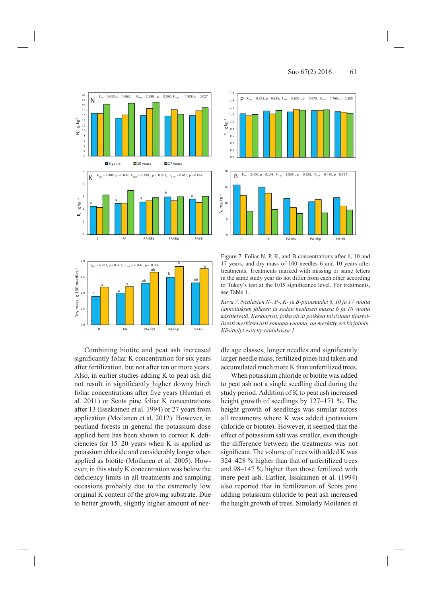

 $0.0$  $0.5$ Dry mass, g 100 needles-1 0 PA PA+KPs PA+Bip PA+Bi

Combining biotite and peat ash increased significantly foliar K concentration for six years after fertilization, but not after ten or more years. Also, in earlier studies adding K to peat ash did not result in significantly higher downy birch foliar concentrations after five years (Huotari et al. 2011) or Scots pine foliar K concentrations after 13 (Issakainen et al. 1994) or 27 years from application (Moilanen et al. 2012). However, in peatland forests in general the potassium dose applied here has been shown to correct K deficiencies for 15–20 years when K is applied as potassium chloride and considerably longer when applied as biotite (Moilanen et al. 2005). However, in this study K concentration was below the deficiency limits in all treatments and sampling occasions probably due to the extremely low original K content of the growing substrate. Due to better growth, slightly higher amount of nee-



Figure 7. Foliar N, P, K, and B concentrations after 6, 10 and 17 years, and dry mass of 100 needles 6 and 10 years after treatments. Treatments marked with missing or same letters in the same study year do not differ from each other according to Tukey's test at the 0.05 significance level. For treatments, see Table 1.

*Kuva 7. Neulasten N-, P-, K- ja B-pitoisuudet 6, 10 ja 17 vuotta lannoituksen jälkeen ja sadan neulasen massa 6 ja 10 vuotta käsittelystä. Keskiarvot, jotka eivät poikkea toisistaan tilastollisesti merkitsevästi samana vuonna, on merkitty eri kirjaimin. Käsittelyt esitetty taulukossa 1.*

dle age classes, longer needles and significantly larger needle mass, fertilized pines had taken and accumulated much more K than unfertilized trees.

When potassium chloride or biotite was added to peat ash not a single seedling died during the study period. Addition of K to peat ash increased height growth of seedlings by 127–171 %. The height growth of seedlings was similar across all treatments where K was added (potassium chloride or biotite). However, it seemed that the effect of potassium salt was smaller, even though the difference between the treatments was not significant. The volume of trees with added K was 324–428 % higher than that of unfertilized trees and 98–147 % higher than those fertilized with mere peat ash. Earlier, Issakainen et al. (1994) also reported that in fertilization of Scots pine adding potassium chloride to peat ash increased the height growth of trees. Similarly Moilanen et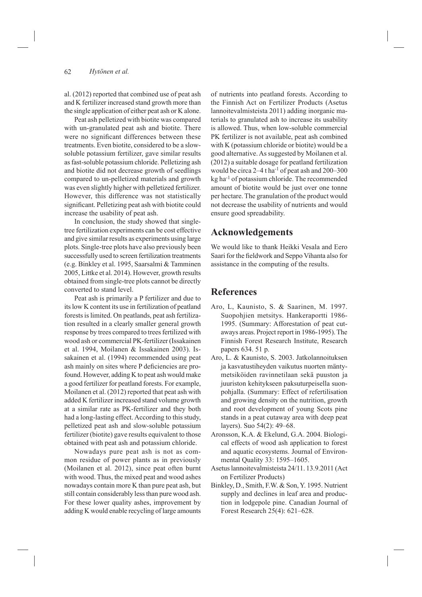al. (2012) reported that combined use of peat ash and K fertilizer increased stand growth more than the single application of either peat ash or K alone.

Peat ash pelletized with biotite was compared with un-granulated peat ash and biotite. There were no significant differences between these treatments. Even biotite, considered to be a slowsoluble potassium fertilizer, gave similar results as fast-soluble potassium chloride. Pelletizing ash and biotite did not decrease growth of seedlings compared to un-pelletized materials and growth was even slightly higher with pelletized fertilizer. However, this difference was not statistically significant. Pelletizing peat ash with biotite could increase the usability of peat ash.

In conclusion, the study showed that singletree fertilization experiments can be cost effective and give similar results as experiments using large plots. Single-tree plots have also previously been successfully used to screen fertilization treatments (e.g. Binkley et al. 1995, Saarsalmi & Tamminen 2005, Littke et al. 2014). However, growth results obtained from single-tree plots cannot be directly converted to stand level.

Peat ash is primarily a P fertilizer and due to its low K content its use in fertilization of peatland forests is limited. On peatlands, peat ash fertilization resulted in a clearly smaller general growth response by trees compared to trees fertilized with wood ash or commercial PK-fertilizer (Issakainen et al. 1994, Moilanen & Issakainen 2003). Issakainen et al. (1994) recommended using peat ash mainly on sites where P deficiencies are profound. However, adding K to peat ash would make a good fertilizer for peatland forests. For example, Moilanen et al. (2012) reported that peat ash with added K fertilizer increased stand volume growth at a similar rate as PK-fertilizer and they both had a long-lasting effect. According to this study, pelletized peat ash and slow-soluble potassium fertilizer (biotite) gave results equivalent to those obtained with peat ash and potassium chloride.

Nowadays pure peat ash is not as common residue of power plants as in previously (Moilanen et al. 2012), since peat often burnt with wood. Thus, the mixed peat and wood ashes nowadays contain more K than pure peat ash, but still contain considerably less than pure wood ash. For these lower quality ashes, improvement by adding K would enable recycling of large amounts of nutrients into peatland forests. According to the Finnish Act on Fertilizer Products (Asetus lannoitevalmisteista 2011) adding inorganic materials to granulated ash to increase its usability is allowed. Thus, when low-soluble commercial PK fertilizer is not available, peat ash combined with K (potassium chloride or biotite) would be a good alternative. As suggested by Moilanen et al. (2012) a suitable dosage for peatland fertilization would be circa  $2-4$  t ha<sup>-1</sup> of peat ash and  $200-300$ kg ha-1 of potassium chloride. The recommended amount of biotite would be just over one tonne per hectare. The granulation of the product would not decrease the usability of nutrients and would ensure good spreadability.

## **Acknowledgements**

We would like to thank Heikki Vesala and Eero Saari for the fieldwork and Seppo Vihanta also for assistance in the computing of the results.

## **References**

- Aro, L, Kaunisto, S. & Saarinen, M. 1997. Suopohjien metsitys. Hankeraportti 1986- 1995. (Summary: Afforestation of peat cutaways areas. Project report in 1986-1995). The Finnish Forest Research Institute, Research papers 634. 51 p.
- Aro, L. & Kaunisto, S. 2003. Jatkolannoituksen ja kasvatustiheyden vaikutus nuorten mäntymetsiköiden ravinnetilaan sekä puuston ja juuriston kehitykseen paksuturpeisella suonpohjalla. (Summary: Effect of refertilisation and growing density on the nutrition, growth and root development of young Scots pine stands in a peat cutaway area with deep peat layers). Suo 54(2): 49–68.
- Aronsson, K.A. & Ekelund, G.A. 2004. Biological effects of wood ash application to forest and aquatic ecosystems. Journal of Environmental Quality 33: 1595–1605.
- Asetus lannoitevalmisteista 24/11. 13.9.2011 (Act on Fertilizer Products)
- Binkley, D., Smith, F.W. & Son, Y. 1995. Nutrient supply and declines in leaf area and production in lodgepole pine. Canadian Journal of Forest Research 25(4): 621–628.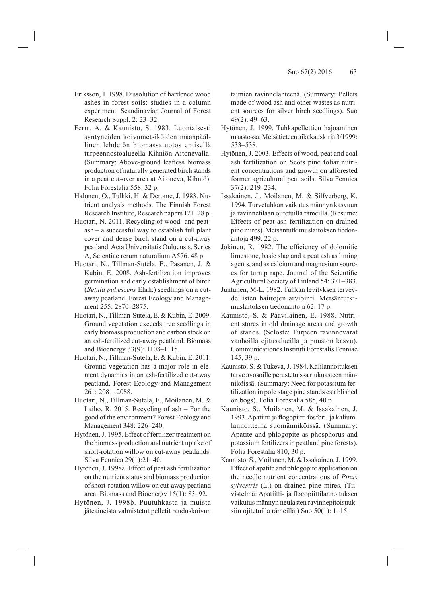- Eriksson, J. 1998. Dissolution of hardened wood ashes in forest soils: studies in a column experiment. Scandinavian Journal of Forest Research Suppl. 2: 23–32.
- Ferm, A. & Kaunisto, S. 1983. Luontaisesti syntyneiden koivumetsiköiden maanpäällinen lehdetön biomassatuotos entisellä turpeen nosto alueella Kihniön Aitonevalla. (Summary: Above-ground leafless biomass production of naturally generated birch stands in a peat cut-over area at Aitoneva, Kihniö). Folia Forestalia 558. 32 p.
- Halonen, O., Tulkki, H. & Derome, J. 1983. Nutrient analysis methods. The Finnish Forest Research Institute, Research papers 121. 28 p.
- Huotari, N. 2011. Recycling of wood- and peatash – a successful way to establish full plant cover and dense birch stand on a cut-away peatland. Acta Universitatis Ouluensis. Series A, Scientiae rerum naturalium A576. 48 p.
- Huotari, N., Tillman-Sutela, E., Pasanen, J. & Kubin, E. 2008. Ash-fertilization improves germination and early establishment of birch (*Betula pubescens* Ehrh.) seedlings on a cutaway peatland. Forest Ecology and Management 255: 2870–2875.
- Huotari, N., Tillman-Sutela, E. & Kubin, E. 2009. Ground vegetation exceeds tree seedlings in early biomass production and carbon stock on an ash-fertilized cut-away peatland. Biomass and Bioenergy 33(9): 1108–1115.
- Huotari, N., Tillman-Sutela, E. & Kubin, E. 2011. Ground vegetation has a major role in element dynamics in an ash-fertilized cut-away peatland. Forest Ecology and Management 261: 2081–2088.
- Huotari, N., Tillman-Sutela, E., Moilanen, M. & Laiho, R. 2015. Recycling of ash – For the good of the environment? Forest Ecology and Management 348: 226–240.
- Hytönen, J. 1995. Effect of fertilizer treatment on the biomass production and nutrient uptake of short-rotation willow on cut-away peatlands. Silva Fennica 29(1):21–40.
- Hytönen, J. 1998a. Effect of peat ash fertilization on the nutrient status and biomass production of short-rotation willow on cut-away peatland area. Biomass and Bioenergy 15(1): 83–92.
- Hytönen, J. 1998b. Puutuhkasta ja muista jäteaineista valmistetut pelletit rauduskoivun

taimien ravinnelähteenä. (Summary: Pellets made of wood ash and other wastes as nutrient sources for silver birch seedlings). Suo 49(2): 49–63.

- Hytönen, J. 1999. Tuhkapellettien hajoaminen maastossa. Metsätieteen aikakauskirja 3/1999: 533–538.
- Hytönen, J. 2003. Effects of wood, peat and coal ash fertilization on Scots pine foliar nutrient concentrations and growth on afforested former agricultural peat soils. Silva Fennica 37(2): 219–234.
- Issakainen, J., Moilanen, M. & Silfverberg, K. 1994. Turvetuhkan vaikutus männyn kasvuun ja ravinnetilaan ojitetuilla rämeillä. (Resume: Effects of peat-ash fertilization on drained pine mires). Metsäntutkimuslaitoksen tiedonantoja 499. 22 p.
- Jokinen, R. 1982. The efficiency of dolomitic limestone, basic slag and a peat ash as liming agents, and as calcium and magnesium sources for turnip rape. Journal of the Scientific Agricultural Society of Finland 54: 371–383.
- Juntunen, M-L. 1982. Tuhkan levityksen terveydellisten haittojen arviointi. Metsäntutkimuslaitoksen tiedonantoja 62. 17 p.
- Kaunisto, S. & Paavilainen, E. 1988. Nutrient stores in old drainage areas and growth of stands. (Seloste: Turpeen ravinnevarat vanhoilla ojitusalueilla ja puuston kasvu). Communicationes Instituti Forestalis Fenniae 145, 39 p.
- Kaunisto, S. & Tukeva, J. 1984. Kalilannoituksen tarve avosoille perustetuissa riukuasteen männiköissä. (Summary: Need for potassium fertilization in pole stage pine stands established on bogs). Folia Forestalia 585, 40 p.
- Kaunisto, S., Moilanen, M. & Issakainen, J. 1993. Apatiitti ja flogopiitti fosfori- ja kaliumlannoitteina suomänniköissä. (Summary: Apatite and phlogopite as phosphorus and potassium fertilizers in peatland pine forests). Folia Forestalia 810, 30 p.
- Kaunisto, S., Moilanen, M. & Issakainen, J. 1999. Effect of apatite and phlogopite application on the needle nutrient concentrations of *Pinus sylvestris* (L.) on drained pine mires. (Tiivistelmä: Apatiitti- ja flogopiittilannoituksen vaikutus männyn neulasten ravinnepitoisuuksiin ojitetuilla rämeillä.) Suo 50(1): 1–15.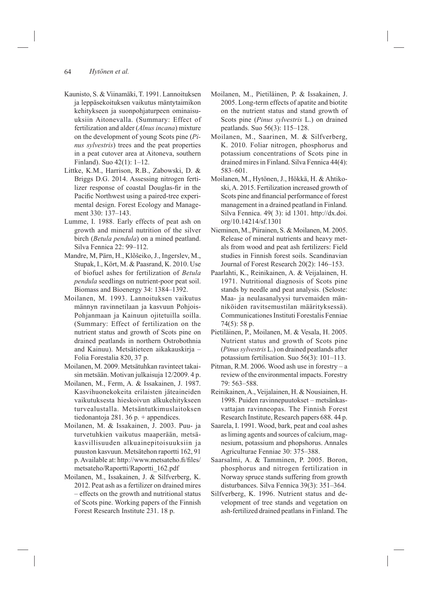- Kaunisto, S. & Viinamäki, T. 1991. Lannoituksen ja leppäsekoituksen vaikutus mäntytaimikon kehitykseen ja suonpohjaturpeen ominaisuuksiin Aitonevalla. (Summary: Effect of fertilization and alder (*Alnus incana*) mixture on the development of young Scots pine (*Pinus sylvestris*) trees and the peat properties in a peat cutover area at Aitoneva, southern Finland). Suo 42(1): 1–12.
- Littke, K.M., Harrison, R.B., Zabowski, D. & Briggs D.G. 2014. Assessing nitrogen fertilizer response of coastal Douglas-fir in the Pacific Northwest using a paired-tree experimental design. Forest Ecology and Management 330: 137–143.
- Lumme, I. 1988. Early effects of peat ash on growth and mineral nutrition of the silver birch (*Betula pendula*) on a mined peatland. Silva Fennica 22: 99–112.
- Mandre, M, Pärn, H., Klõšeiko, J., Ingerslev, M., Stupak, I., Kört, M. & Paasrand, K. 2010. Use of biofuel ashes for fertilization of *Betula pendula* seedlings on nutrient-poor peat soil. Biomass and Bioenergy 34: 1384–1392.
- Moilanen, M. 1993. Lannoituksen vaikutus männyn ravinnetilaan ja kasvuun Pohjois-Pohjanmaan ja Kainuun ojitetuilla soilla. (Summary: Effect of fertilization on the nutrient status and growth of Scots pine on drained peatlands in northern Ostrobothnia and Kainuu). Metsätieteen aikakauskirja – Folia Forestalia 820, 37 p.
- Moilanen, M. 2009. Metsätuhkan ravinteet takaisin metsään. Motivan julkaisuja 12/2009. 4 p.
- Moilanen, M., Ferm, A. & Issakainen, J. 1987. Kasvihuonekokeita erilaisten jäteaineiden vaikutuksesta hieskoivun alkukehitykseen turvealustalla. Metsäntutkimuslaitoksen tiedonantoja 281. 36 p. + appendices.
- Moilanen, M. & Issakainen, J. 2003. Puu- ja turvetuhkien vaikutus maaperään, metsäkasvillisuuden alkuainepitoisuuksiin ja puuston kasvuun. Metsätehon raportti 162, 91 p. Available at: http://www.metsateho.fi/files/ metsateho/Raportti/Raportti\_162.pdf
- Moilanen, M., Issakainen, J. & Silfverberg, K. 2012. Peat ash as a fertilizer on drained mires – effects on the growth and nutritional status of Scots pine. Working papers of the Finnish Forest Research Institute 231. 18 p.
- Moilanen, M., Pietiläinen, P. & Issakainen, J. 2005. Long-term effects of apatite and biotite on the nutrient status and stand growth of Scots pine (*Pinus sylvestris* L.) on drained peatlands. Suo 56(3): 115–128.
- Moilanen, M., Saarinen, M. & Silfverberg, K. 2010. Foliar nitrogen, phosphorus and potassium concentrations of Scots pine in drained mires in Finland. Silva Fennica 44(4): 583–601.
- Moilanen, M., Hytönen, J., Hökkä, H. & Ahtikoski, A. 2015. Fertilization increased growth of Scots pine and financial performance of forest management in a drained peatland in Finland. Silva Fennica. 49( 3): id 1301. http://dx.doi. org/10.14214/sf.1301
- Nieminen, M., Piirainen, S. & Moilanen, M. 2005. Release of mineral nutrients and heavy metals from wood and peat ash fertilizers: Field studies in Finnish forest soils. Scandinavian Journal of Forest Research 20(2): 146–153.
- Paarlahti, K., Reinikainen, A. & Veijalainen, H. 1971. Nutritional diagnosis of Scots pine stands by needle and peat analysis. (Seloste: Maa- ja neulasanalyysi turvemaiden männiköiden ravitsemustilan määrityksessä). Communicationes Instituti Forestalis Fenniae 74(5): 58 p.
- Pietiläinen, P., Moilanen, M. & Vesala, H. 2005. Nutrient status and growth of Scots pine (*Pinus sylvestris* L.) on drained peatlands after potassium fertilisation. Suo 56(3): 101–113.
- Pitman, R.M. 2006. Wood ash use in forestry a review of the environmental impacts. Forestry 79: 563–588.
- Reinikainen, A., Veijalainen, H. & Nousiainen, H. 1998. Puiden ravinnepuutokset – metsänkasvattajan ravinneopas. The Finnish Forest Research Institute, Research papers 688. 44 p.
- Saarela, I. 1991. Wood, bark, peat and coal ashes as liming agents and sources of calcium, magnesium, potassium and phopshorus. Annales Agriculturae Fenniae 30: 375–388.
- Saarsalmi, A. & Tamminen, P. 2005. Boron, phosphorus and nitrogen fertilization in Norway spruce stands suffering from growth disturbances. Silva Fennica 39(3): 351–364.
- Silfverberg, K. 1996. Nutrient status and development of tree stands and vegetation on ash-fertilized drained peatlans in Finland. The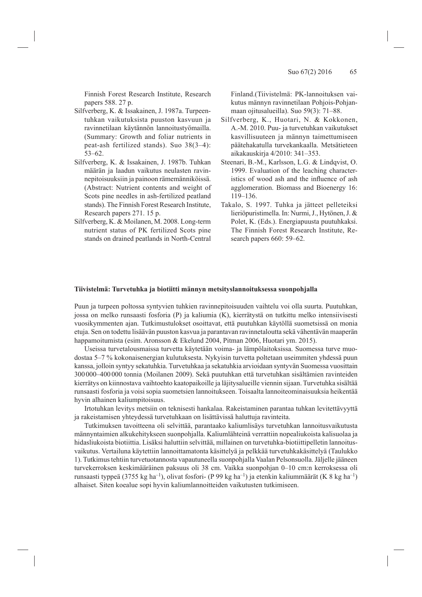Finnish Forest Research Institute, Research papers 588. 27 p.

- Silfverberg, K. & Issakainen, J. 1987a. Turpeentuhkan vaikutuksista puuston kasvuun ja ravinnetilaan käytännön lannoitustyömailla. (Summary: Growth and foliar nutrients in peat-ash fertilized stands). Suo 38(3–4): 53–62.
- Silfverberg, K. & Issakainen, J. 1987b. Tuhkan määrän ja laadun vaikutus neulasten ravinnepitoisuuksiin ja painoon rämemänniköissä. (Abstract: Nutrient contents and weight of Scots pine needles in ash-fertilized peatland stands). The Finnish Forest Research Institute, Research papers 271. 15 p.
- Silfverberg, K. & Moilanen, M. 2008. Long-term nutrient status of PK fertilized Scots pine stands on drained peatlands in North-Central

Finland.(Tiivistelmä: PK-lannoituksen vaikutus männyn ravinnetilaan Pohjois-Pohjanmaan ojitusalueilla). Suo 59(3): 71–88.

- Silfverberg, K., Huotari, N. & Kokkonen, A.-M. 2010. Puu- ja turvetuhkan vaikutukset kasvillisuuteen ja männyn taimettumiseen päätehakatulla turvekankaalla. Metsätieteen aikakauskirja 4/2010: 341–353.
- Steenari, B.-M., Karlsson, L.G. & Lindqvist, O. 1999. Evaluation of the leaching characteristics of wood ash and the influence of ash agglomeration. Biomass and Bioenergy 16: 119–136.
- Takalo, S. 1997. Tuhka ja jätteet pelleteiksi lieriöpuristimella. In: Nurmi, J., Hytönen, J. & Polet, K. (Eds.). Energiapuusta puutuhkaksi. The Finnish Forest Research Institute, Research papers 660: 59–62.

#### **Tiivistelmä: Turvetuhka ja biotiitti männyn metsityslannoituksessa suonpohjalla**

Puun ja turpeen poltossa syntyvien tuhkien ravinnepitoisuuden vaihtelu voi olla suurta. Puutuhkan, jossa on melko runsaasti fosforia (P) ja kaliumia (K), kierrätystä on tutkittu melko intensiivisesti vuosikymmenten ajan. Tutkimustulokset osoittavat, että puutuhkan käytöllä suometsissä on monia etuja. Sen on todettu lisäävän puuston kasvua ja parantavan ravinnetaloutta sekä vähentävän maaperän happamoitumista (esim. Aronsson & Ekelund 2004, Pitman 2006, Huotari ym. 2015).

Useissa turvetalousmaissa turvetta käytetään voima- ja lämpölaitoksissa. Suomessa turve muodostaa 5–7 % kokonaisenergian kulutuksesta. Nykyisin turvetta poltetaan useimmiten yhdessä puun kanssa, jolloin syntyy sekatuhkia. Turvetuhkaa ja sekatuhkia arvioidaan syntyvän Suomessa vuosittain 300 000–400 000 tonnia (Moilanen 2009). Sekä puutuhkan että turvetuhkan sisältämien ravinteiden kierrätys on kiinnostava vaihtoehto kaatopaikoille ja läjitysalueille viennin sijaan. Turvetuhka sisältää runsaasti fosforia ja voisi sopia suometsien lannoitukseen. Toisaalta lannoiteominaisuuksia heikentää hyvin alhainen kaliumpitoisuus.

Irtotuhkan levitys metsiin on teknisesti hankalaa. Rakeistaminen parantaa tuhkan levitettävyyttä ja rakeistamisen yhteydessä turvetuhkaan on lisättävissä haluttuja ravinteita.

Tutkimuksen tavoitteena oli selvittää, parantaako kaliumlisäys turvetuhkan lannoitusvaikutusta männyntaimien alkukehitykseen suonpohjalla. Kaliumlähteinä verrattiin nopealiukoista kalisuolaa ja hidasliukoista biotiittia. Lisäksi haluttiin selvittää, millainen on turvetuhka-biotiittipelletin lannoitusvaikutus. Vertailuna käytettiin lannoittamatonta käsittelyä ja pelkkää turvetuhkakäsittelyä (Taulukko 1). Tutkimus tehtiin turvetuotannosta vapautuneella suonpohjalla Vaalan Pelsonsuolla. Jäljelle jääneen turvekerroksen keskimääräinen paksuus oli 38 cm. Vaikka suonpohjan 0–10 cm:n kerroksessa oli runsaasti typpeä (3755 kg ha–1), olivat fosfori- (P 99 kg ha–1) ja etenkin kaliummäärät (K 8 kg ha–1) alhaiset. Siten koealue sopi hyvin kaliumlannoitteiden vaikutusten tutkimiseen.